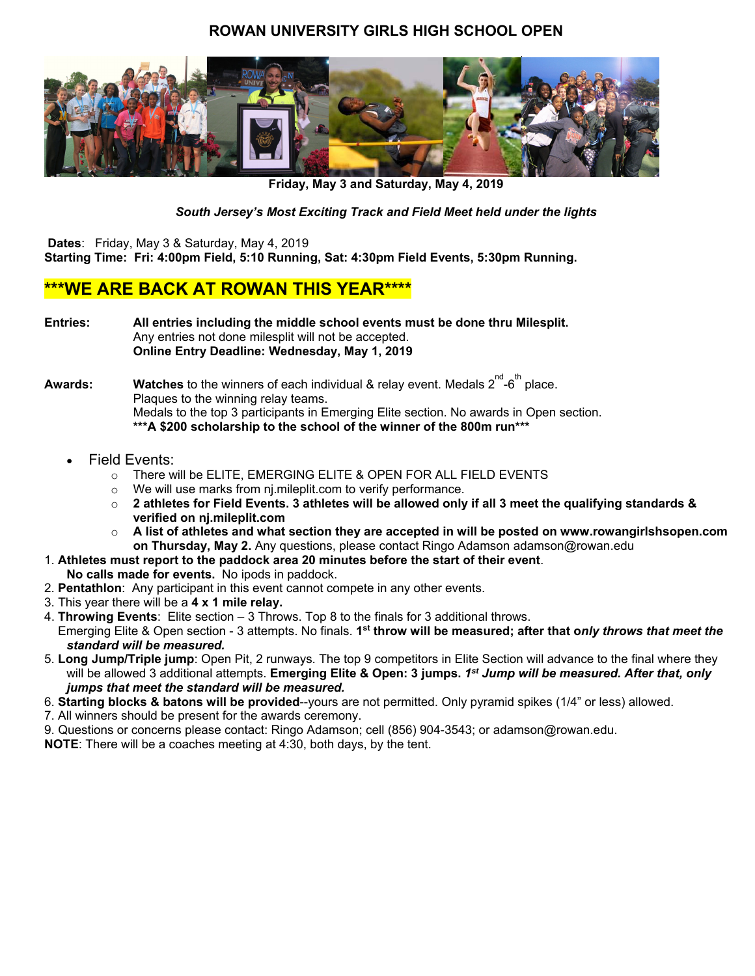# **ROWAN UNIVERSITY GIRLS HIGH SCHOOL OPEN**



**Friday, May 3 and Saturday, May 4, 2019**

*South Jersey's Most Exciting Track and Field Meet held under the lights* 

 **Dates**: Friday, May 3 & Saturday, May 4, 2019

**Starting Time: Fri: 4:00pm Field, 5:10 Running, Sat: 4:30pm Field Events, 5:30pm Running.** 

# **\*\*\*WE ARE BACK AT ROWAN THIS YEAR\*\*\*\***

**Entries: All entries including the middle school events must be done thru Milesplit.**  Any entries not done milesplit will not be accepted. **Online Entry Deadline: Wednesday, May 1, 2019** 

 $\mathsf{Awards:}\qquad \quad \mathsf{Watches} \text{ to the winners of each individual \& relay event. \text{ Medals } 2^{\mathsf{nd}}\text{-}6^{\mathsf{th}} \text{ place.}$ Plaques to the winning relay teams. Medals to the top 3 participants in Emerging Elite section. No awards in Open section. **\*\*\*A \$200 scholarship to the school of the winner of the 800m run\*\*\*** 

- Field Events:
	- o There will be ELITE, EMERGING ELITE & OPEN FOR ALL FIELD EVENTS
	- o We will use marks from nj.mileplit.com to verify performance.
	- o **2 athletes for Field Events. 3 athletes will be allowed only if all 3 meet the qualifying standards & verified on nj.mileplit.com**
	- o **A list of athletes and what section they are accepted in will be posted on www.rowangirlshsopen.com on Thursday, May 2.** Any questions, please contact Ringo Adamson adamson@rowan.edu
- 1. **Athletes must report to the paddock area 20 minutes before the start of their event**.
- **No calls made for events.** No ipods in paddock.
- 2. **Pentathlon**: Any participant in this event cannot compete in any other events.
- 3. This year there will be a **4 x 1 mile relay.**
- 4. **Throwing Events**: Elite section 3 Throws. Top 8 to the finals for 3 additional throws. Emerging Elite & Open section - 3 attempts. No finals. **1st throw will be measured; after that o***nly throws that meet the standard will be measured.*
- 5. **Long Jump/Triple jump**: Open Pit, 2 runways. The top 9 competitors in Elite Section will advance to the final where they will be allowed 3 additional attempts. **Emerging Elite & Open: 3 jumps.** *1st Jump will be measured. After that, only jumps that meet the standard will be measured.*
- 6. **Starting blocks & batons will be provided**--yours are not permitted. Only pyramid spikes (1/4" or less) allowed.
- 7. All winners should be present for the awards ceremony.
- 9. Questions or concerns please contact: Ringo Adamson; cell (856) 904-3543; or adamson@rowan.edu.

**NOTE**: There will be a coaches meeting at 4:30, both days, by the tent.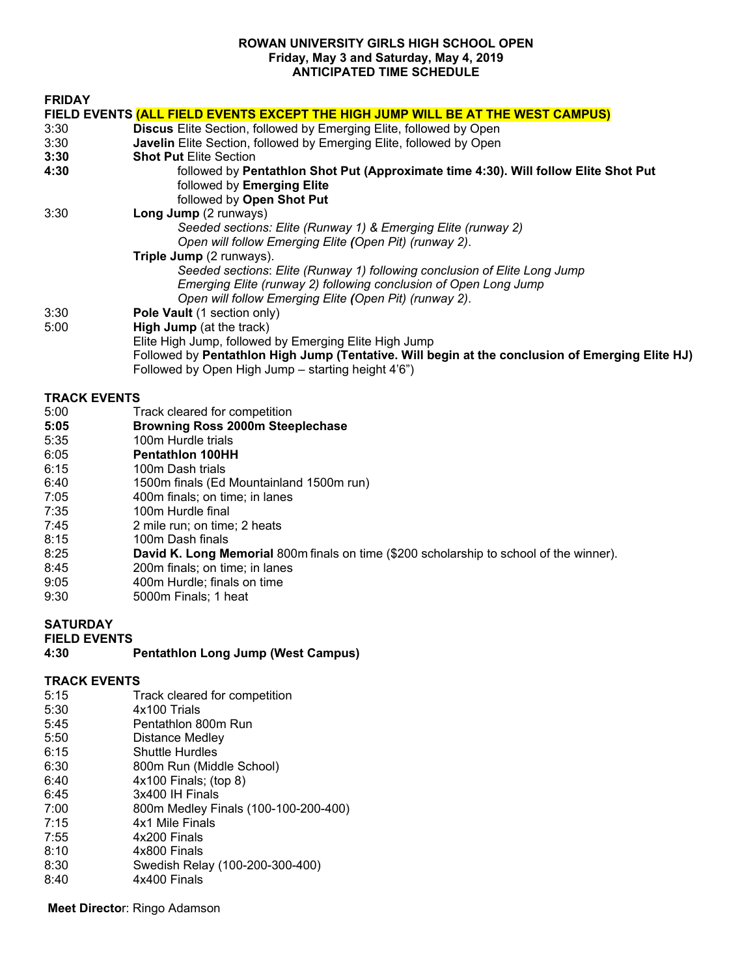#### **ROWAN UNIVERSITY GIRLS HIGH SCHOOL OPEN Friday, May 3 and Saturday, May 4, 2019 ANTICIPATED TIME SCHEDULE**

| <b>FRIDAY</b>       |                                                                                                                                                                                                                |
|---------------------|----------------------------------------------------------------------------------------------------------------------------------------------------------------------------------------------------------------|
|                     | FIELD EVENTS (ALL FIELD EVENTS EXCEPT THE HIGH JUMP WILL BE AT THE WEST CAMPUS)                                                                                                                                |
| 3:30                | <b>Discus</b> Elite Section, followed by Emerging Elite, followed by Open                                                                                                                                      |
| 3:30                | <b>Javelin</b> Elite Section, followed by Emerging Elite, followed by Open                                                                                                                                     |
| 3:30                | <b>Shot Put Elite Section</b>                                                                                                                                                                                  |
| 4:30                | followed by Pentathlon Shot Put (Approximate time 4:30). Will follow Elite Shot Put<br>followed by Emerging Elite<br>followed by Open Shot Put                                                                 |
| 3:30                | Long Jump (2 runways)                                                                                                                                                                                          |
|                     | Seeded sections: Elite (Runway 1) & Emerging Elite (runway 2)<br>Open will follow Emerging Elite (Open Pit) (runway 2).                                                                                        |
|                     | Triple Jump (2 runways).                                                                                                                                                                                       |
|                     | Seeded sections: Elite (Runway 1) following conclusion of Elite Long Jump<br>Emerging Elite (runway 2) following conclusion of Open Long Jump<br>Open will follow Emerging Elite (Open Pit) (runway 2).        |
| 3:30                | Pole Vault (1 section only)                                                                                                                                                                                    |
| 5:00                | <b>High Jump</b> (at the track)                                                                                                                                                                                |
|                     | Elite High Jump, followed by Emerging Elite High Jump<br>Followed by Pentathlon High Jump (Tentative. Will begin at the conclusion of Emerging Elite HJ)<br>Followed by Open High Jump – starting height 4'6") |
| <b>TRACK EVENTS</b> |                                                                                                                                                                                                                |
| 5:00                | Track cleared for competition                                                                                                                                                                                  |
| 5:05                | <b>Browning Ross 2000m Steeplechase</b>                                                                                                                                                                        |
| 5:35                | 100m Hurdle trials                                                                                                                                                                                             |
| 6:05                | <b>Pentathlon 100HH</b>                                                                                                                                                                                        |
| 6:15                | 100m Dash trials                                                                                                                                                                                               |
| 6:40                | 1500m finals (Ed Mountainland 1500m run)                                                                                                                                                                       |
| 7:05                | 400m finals; on time; in lanes                                                                                                                                                                                 |
| 7:35                | 100m Hurdle final                                                                                                                                                                                              |
| 7:45                | 2 mile run; on time; 2 heats                                                                                                                                                                                   |
| 8:15                | 100m Dash finals                                                                                                                                                                                               |
| 8:25                | David K. Long Memorial 800m finals on time (\$200 scholarship to school of the winner).                                                                                                                        |

- 8:45 200m finals; on time; in lanes<br>9:05 400m Hurdle; finals on time
- 9:05 400m Hurdle; finals on time<br>9:30 5000m Finals; 1 heat
- 5000m Finals; 1 heat

# **SATURDAY**

| <b>FIELD EVENTS</b> |                                           |
|---------------------|-------------------------------------------|
| 4:30                | <b>Pentathion Long Jump (West Campus)</b> |

#### **TRACK EVENTS**

| 5:15 | Track cleared for competition        |
|------|--------------------------------------|
| 5:30 | 4x100 Trials                         |
| 5:45 | Pentathlon 800m Run                  |
| 5:50 | Distance Medley                      |
| 6:15 | <b>Shuttle Hurdles</b>               |
| 6:30 | 800m Run (Middle School)             |
| 6:40 | 4x100 Finals; (top 8)                |
| 6:45 | 3x400 IH Finals                      |
| 7:00 | 800m Medley Finals (100-100-200-400) |
| 7:15 | 4x1 Mile Finals                      |
| 7:55 | 4x200 Finals                         |
| 8:10 | 4x800 Finals                         |
| 8:30 | Swedish Relay (100-200-300-400)      |
| 8:40 | 4x400 Finals                         |
|      |                                      |

**Meet Directo**r: Ringo Adamson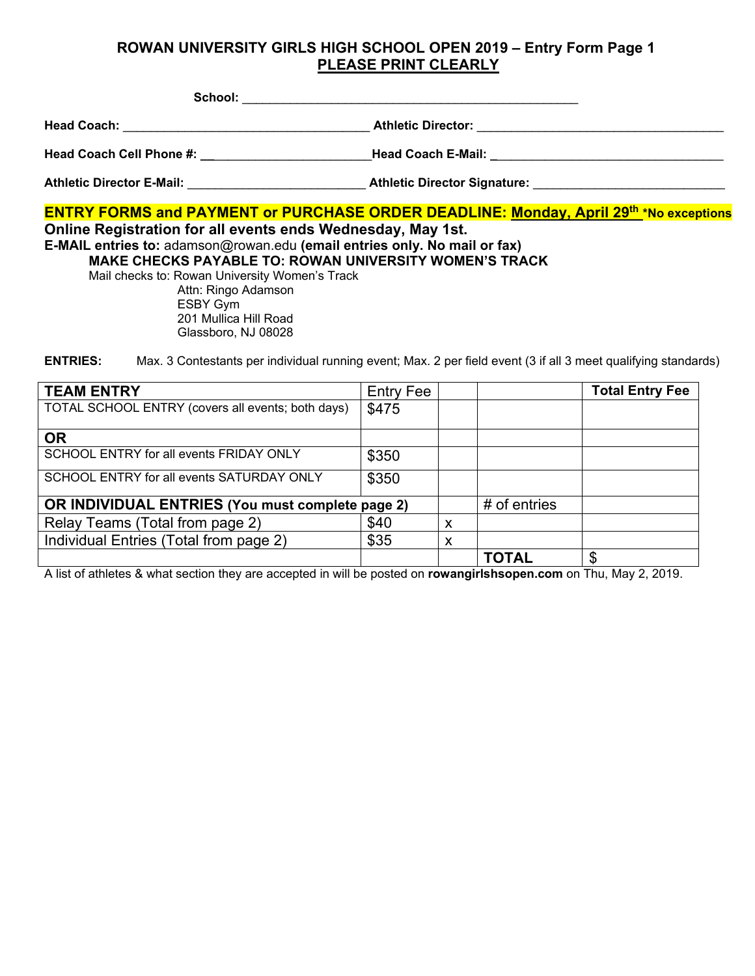# **ROWAN UNIVERSITY GIRLS HIGH SCHOOL OPEN 2019 – Entry Form Page 1 PLEASE PRINT CLEARLY**

| School:                          |                                            |
|----------------------------------|--------------------------------------------|
| <b>Head Coach:</b>               | <b>Athletic Director:</b>                  |
| Head Coach Cell Phone #: __      | Head Coach E-Mail:                         |
| <b>Athletic Director E-Mail:</b> | Athletic Director Signature: New York 1999 |

| <b>ENTRY FORMS and PAYMENT or PURCHASE ORDER DEADLINE: Monday, April 29th *No exceptions</b> |
|----------------------------------------------------------------------------------------------|
| Online Registration for all events ends Wednesday, May 1st.                                  |
| E-MAIL entries to: adamson@rowan.edu (email entries only. No mail or fax)                    |
| <b>MAKE CHECKS PAYABLE TO: ROWAN UNIVERSITY WOMEN'S TRACK</b>                                |
| Mail checks to: Rowan University Women's Track                                               |
| Attn: Ringo Adamson                                                                          |
| ESBY Gym                                                                                     |
| 201 Mullica Hill Road                                                                        |

Glassboro, NJ 08028

**ENTRIES:** Max. 3 Contestants per individual running event; Max. 2 per field event (3 if all 3 meet qualifying standards)

| <b>TEAM ENTRY</b>                                 | <b>Entry Fee</b> |   |                | <b>Total Entry Fee</b> |
|---------------------------------------------------|------------------|---|----------------|------------------------|
| TOTAL SCHOOL ENTRY (covers all events; both days) | \$475            |   |                |                        |
| <b>OR</b>                                         |                  |   |                |                        |
| SCHOOL ENTRY for all events FRIDAY ONLY           | \$350            |   |                |                        |
| SCHOOL ENTRY for all events SATURDAY ONLY         | \$350            |   |                |                        |
| OR INDIVIDUAL ENTRIES (You must complete page 2)  |                  |   | $#$ of entries |                        |
| Relay Teams (Total from page 2)                   | \$40             | X |                |                        |
| Individual Entries (Total from page 2)            | \$35             | X |                |                        |
|                                                   |                  |   | <b>TOTAL</b>   | \$                     |

A list of athletes & what section they are accepted in will be posted on **rowangirlshsopen.com** on Thu, May 2, 2019.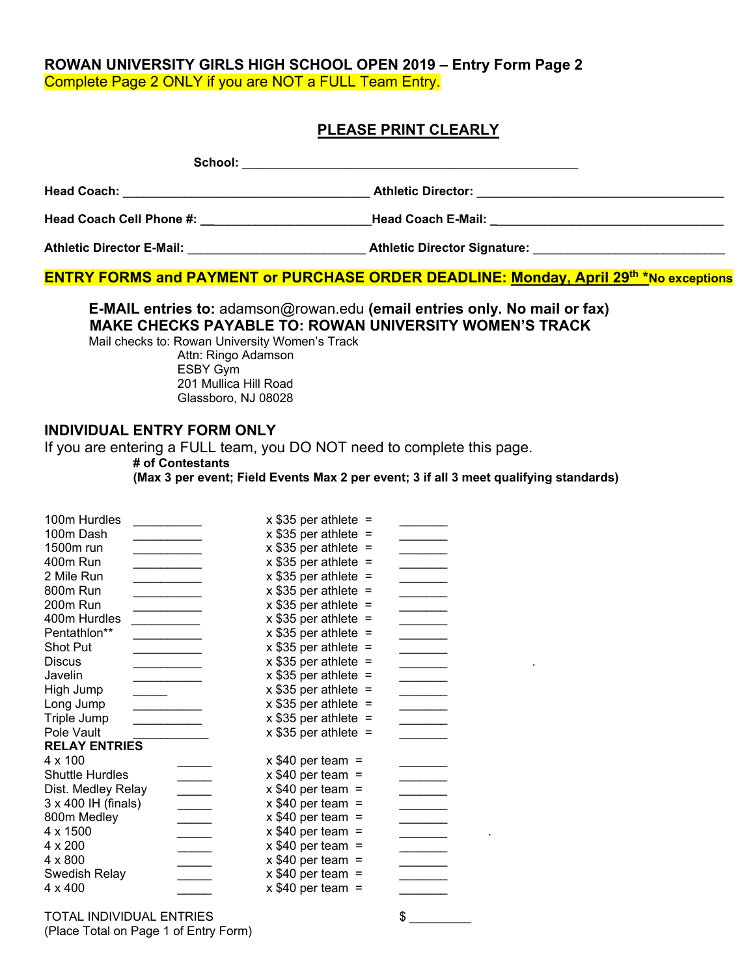#### **ROWAN UNIVERSITY GIRLS HIGH SCHOOL OPEN 2019 – Entry Form Page 2**  Complete Page 2 ONLY if you are NOT a FULL Team Entry.

#### **PLEASE PRINT CLEARLY**

| School:                          |                                                                                                                                                                                                                                     |
|----------------------------------|-------------------------------------------------------------------------------------------------------------------------------------------------------------------------------------------------------------------------------------|
| <b>Head Coach:</b>               | <b>Athletic Director:</b>                                                                                                                                                                                                           |
| <b>Head Coach Cell Phone #:</b>  | <b>Head Coach E-Mail:</b> And the state of the state of the state of the state of the state of the state of the state of the state of the state of the state of the state of the state of the state of the state of the state of th |
| <b>Athletic Director E-Mail:</b> | <b>Athletic Director Signature:</b>                                                                                                                                                                                                 |

**ENTRY FORMS and PAYMENT or PURCHASE ORDER DEADLINE: Monday, April 29<sup>th \*</sup>No exceptions** 

#### **E-MAIL entries to:** adamson@rowan.edu **(email entries only. No mail or fax) MAKE CHECKS PAYABLE TO: ROWAN UNIVERSITY WOMEN'S TRACK**

Mail checks to: Rowan University Women's Track Attn: Ringo Adamson ESBY Gym 201 Mullica Hill Road Glassboro, NJ 08028

# **INDIVIDUAL ENTRY FORM ONLY**

If you are entering a FULL team, you DO NOT need to complete this page.

**# of Contestants** 

**(Max 3 per event; Field Events Max 2 per event; 3 if all 3 meet qualifying standards)** 

| 100m Hurdles           |                          | $x$ \$35 per athlete = |  |  |
|------------------------|--------------------------|------------------------|--|--|
| 100m Dash              |                          | $x$ \$35 per athlete = |  |  |
| 1500m run              |                          | $x$ \$35 per athlete = |  |  |
| 400m Run               |                          | $x$ \$35 per athlete = |  |  |
| 2 Mile Run             |                          | $x$ \$35 per athlete = |  |  |
| 800m Run               |                          | $x$ \$35 per athlete = |  |  |
| 200m Run               |                          | $x$ \$35 per athlete = |  |  |
| 400m Hurdles           |                          | $x$ \$35 per athlete = |  |  |
| Pentathlon**           |                          | $x$ \$35 per athlete = |  |  |
| Shot Put               |                          | $x$ \$35 per athlete = |  |  |
| Discus                 |                          | $x$ \$35 per athlete = |  |  |
| Javelin                |                          | $x$ \$35 per athlete = |  |  |
| High Jump              |                          | $x$ \$35 per athlete = |  |  |
| Long Jump              |                          | $x$ \$35 per athlete = |  |  |
| Triple Jump            |                          | $x$ \$35 per athlete = |  |  |
| Pole Vault             |                          | $x$ \$35 per athlete = |  |  |
| <b>RELAY ENTRIES</b>   |                          |                        |  |  |
| $4 \times 100$         |                          | $x$ \$40 per team =    |  |  |
| <b>Shuttle Hurdles</b> |                          | $x$ \$40 per team =    |  |  |
| Dist. Medley Relay     | $\overline{\phantom{a}}$ | $x$ \$40 per team =    |  |  |
| 3 x 400 IH (finals)    |                          | $x$ \$40 per team =    |  |  |
| 800m Medley            |                          | $x$ \$40 per team =    |  |  |
| 4 x 1500               |                          | $x$ \$40 per team =    |  |  |
| $4 \times 200$         |                          | $x$ \$40 per team =    |  |  |
| $4 \times 800$         |                          | $x$ \$40 per team =    |  |  |
| Swedish Relay          |                          | $x$ \$40 per team =    |  |  |
| 4 x 400                |                          | $x$ \$40 per team =    |  |  |
|                        |                          |                        |  |  |

TOTAL INDIVIDUAL ENTRIES  $\qquad \qquad \, \$$ (Place Total on Page 1 of Entry Form)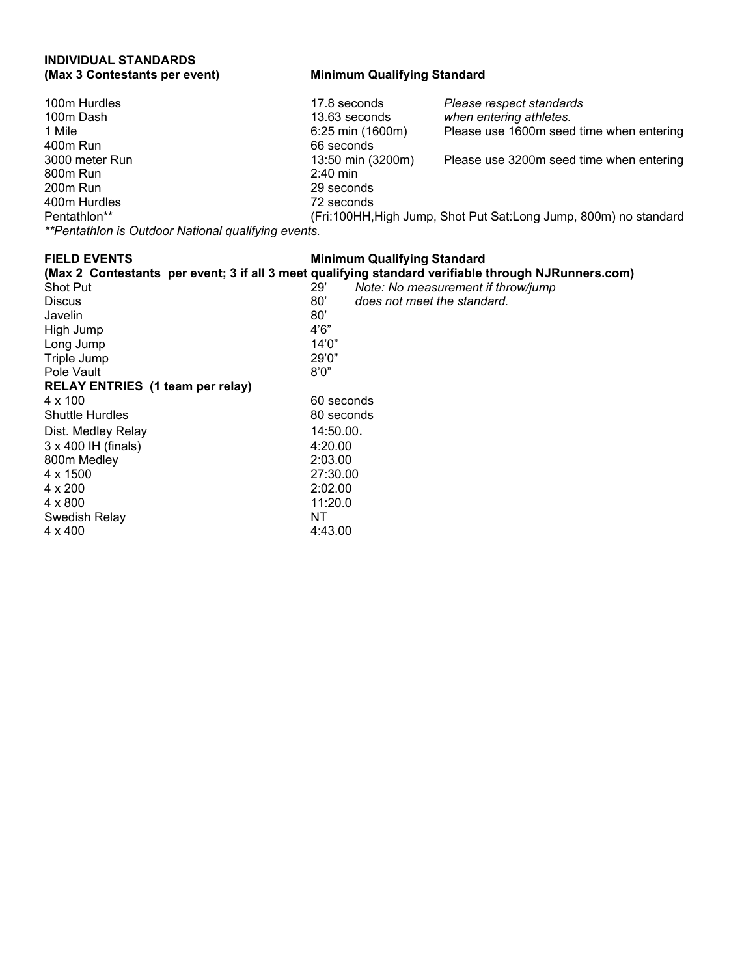# **INDIVIDUAL STANDARDS**

#### **Minimum Qualifying Standard**

| 100m Hurdles                                        | 17.8 seconds      | Please respect standards                                          |
|-----------------------------------------------------|-------------------|-------------------------------------------------------------------|
| 100m Dash                                           | 13.63 seconds     | when entering athletes.                                           |
| 1 Mile                                              | 6:25 min (1600m)  | Please use 1600m seed time when entering                          |
| 400m Run                                            | 66 seconds        |                                                                   |
| 3000 meter Run                                      | 13:50 min (3200m) | Please use 3200m seed time when entering                          |
| 800m Run                                            | $2:40$ min        |                                                                   |
| 200m Run                                            | 29 seconds        |                                                                   |
| 400m Hurdles                                        | 72 seconds        |                                                                   |
| Pentathlon**                                        |                   | (Fri:100HH, High Jump, Shot Put Sat: Long Jump, 800m) no standard |
| **Pentathlon is Outdoor National qualifying events. |                   |                                                                   |

# **FIELD EVENTS Minimum Qualifying Standard**

|                                         |              | (Max 2 Contestants per event; 3 if all 3 meet qualifying standard verifiable through NJRunners.com) |
|-----------------------------------------|--------------|-----------------------------------------------------------------------------------------------------|
| Shot Put                                | 29'          | Note: No measurement if throw/jump                                                                  |
| <b>Discus</b>                           | $80^{\circ}$ | does not meet the standard.                                                                         |
| Javelin                                 | 80'          |                                                                                                     |
| High Jump                               | 4'6"         |                                                                                                     |
| Long Jump                               | 14'0''       |                                                                                                     |
| Triple Jump                             | 29'0"        |                                                                                                     |
| Pole Vault                              | 8'0''        |                                                                                                     |
| <b>RELAY ENTRIES</b> (1 team per relay) |              |                                                                                                     |
| $4 \times 100$                          | 60 seconds   |                                                                                                     |
| <b>Shuttle Hurdles</b>                  | 80 seconds   |                                                                                                     |
| Dist. Medley Relay                      | 14:50.00.    |                                                                                                     |
| $3 \times 400$ IH (finals)              | 4:20.00      |                                                                                                     |
| 800m Medley                             | 2:03.00      |                                                                                                     |
| 4 x 1500                                | 27:30.00     |                                                                                                     |
| $4 \times 200$                          | 2:02.00      |                                                                                                     |
| $4 \times 800$                          | 11:20.0      |                                                                                                     |
| Swedish Relay                           | ΝT           |                                                                                                     |
| $4 \times 400$                          | 4:43.00      |                                                                                                     |